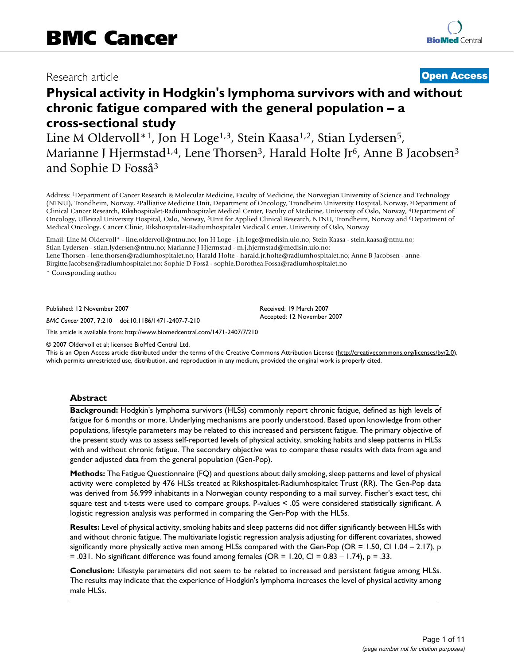# Research article **[Open Access](http://www.biomedcentral.com/info/about/charter/)**

# **Physical activity in Hodgkin's lymphoma survivors with and without chronic fatigue compared with the general population – a cross-sectional study**

Line M Oldervoll<sup>\*1</sup>, Jon H Loge<sup>1,3</sup>, Stein Kaasa<sup>1,2</sup>, Stian Lydersen<sup>5</sup>, Marianne J Hjermstad<sup>1,4</sup>, Lene Thorsen<sup>3</sup>, Harald Holte Jr<sup>6</sup>, Anne B Jacobsen<sup>3</sup> and Sophie D Fosså3

Address: 1Department of Cancer Research & Molecular Medicine, Faculty of Medicine, the Norwegian University of Science and Technology (NTNU), Trondheim, Norway, 2Palliative Medicine Unit, Department of Oncology, Trondheim University Hospital, Norway, 3Department of Clinical Cancer Research, Rikshospitalet-Radiumhospitalet Medical Center, Faculty of Medicine, University of Oslo, Norway, 4Department of Oncology, Ullevaal University Hospital, Oslo, Norway, <sup>5</sup>Unit for Applied Clinical Research, NTNU, Trondheim, Norway and <sup>6</sup>Department of Medical Oncology, Cancer Clinic, Rikshospitalet-Radiumhospitalet Medical Center, University of Oslo, Norway

Email: Line M Oldervoll\* - line.oldervoll@ntnu.no; Jon H Loge - j.h.loge@medisin.uio.no; Stein Kaasa - stein.kaasa@ntnu.no; Stian Lydersen - stian.lydersen@ntnu.no; Marianne J Hjermstad - m.j.hjermstad@medisin.uio.no; Lene Thorsen - lene.thorsen@radiumhospitalet.no; Harald Holte - harald.jr.holte@radiumhospitalet.no; Anne B Jacobsen - anne-Birgitte.Jacobsen@radiumhospitalet.no; Sophie D Fosså - sophie.Dorothea.Fossa@radiumhospitalet.no

\* Corresponding author

Published: 12 November 2007

*BMC Cancer* 2007, **7**:210 doi:10.1186/1471-2407-7-210

Received: 19 March 2007 Accepted: 12 November 2007

[This article is available from: http://www.biomedcentral.com/1471-2407/7/210](http://www.biomedcentral.com/1471-2407/7/210)

© 2007 Oldervoll et al; licensee BioMed Central Ltd.

This is an Open Access article distributed under the terms of the Creative Commons Attribution License [\(http://creativecommons.org/licenses/by/2.0\)](http://creativecommons.org/licenses/by/2.0), which permits unrestricted use, distribution, and reproduction in any medium, provided the original work is properly cited.

#### **Abstract**

**Background:** Hodgkin's lymphoma survivors (HLSs) commonly report chronic fatigue, defined as high levels of fatigue for 6 months or more. Underlying mechanisms are poorly understood. Based upon knowledge from other populations, lifestyle parameters may be related to this increased and persistent fatigue. The primary objective of the present study was to assess self-reported levels of physical activity, smoking habits and sleep patterns in HLSs with and without chronic fatigue. The secondary objective was to compare these results with data from age and gender adjusted data from the general population (Gen-Pop).

**Methods:** The Fatigue Questionnaire (FQ) and questions about daily smoking, sleep patterns and level of physical activity were completed by 476 HLSs treated at Rikshospitalet-Radiumhospitalet Trust (RR). The Gen-Pop data was derived from 56.999 inhabitants in a Norwegian county responding to a mail survey. Fischer's exact test, chi square test and t-tests were used to compare groups. P-values < .05 were considered statistically significant. A logistic regression analysis was performed in comparing the Gen-Pop with the HLSs.

**Results:** Level of physical activity, smoking habits and sleep patterns did not differ significantly between HLSs with and without chronic fatigue. The multivariate logistic regression analysis adjusting for different covariates, showed significantly more physically active men among HLSs compared with the Gen-Pop (OR = 1.50, CI 1.04 – 2.17), p  $= .031$ . No significant difference was found among females (OR = 1.20, CI = 0.83 - 1.74),  $p = .33$ .

**Conclusion:** Lifestyle parameters did not seem to be related to increased and persistent fatigue among HLSs. The results may indicate that the experience of Hodgkin's lymphoma increases the level of physical activity among male HLSs.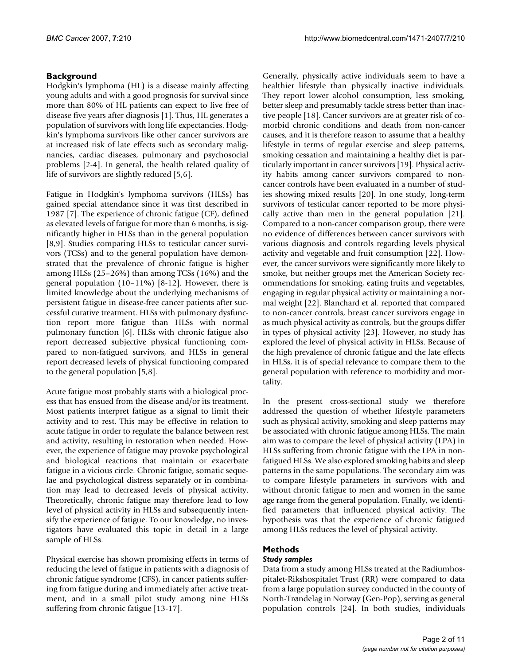# **Background**

Hodgkin's lymphoma (HL) is a disease mainly affecting young adults and with a good prognosis for survival since more than 80% of HL patients can expect to live free of disease five years after diagnosis [1]. Thus, HL generates a population of survivors with long life expectancies. Hodgkin's lymphoma survivors like other cancer survivors are at increased risk of late effects such as secondary malignancies, cardiac diseases, pulmonary and psychosocial problems [2-4]. In general, the health related quality of life of survivors are slightly reduced [5,6].

Fatigue in Hodgkin's lymphoma survivors (HLSs) has gained special attendance since it was first described in 1987 [7]. The experience of chronic fatigue (CF), defined as elevated levels of fatigue for more than 6 months, is significantly higher in HLSs than in the general population [8,9]. Studies comparing HLSs to testicular cancer survivors (TCSs) and to the general population have demonstrated that the prevalence of chronic fatigue is higher among HLSs (25–26%) than among TCSs (16%) and the general population (10–11%) [8-12]. However, there is limited knowledge about the underlying mechanisms of persistent fatigue in disease-free cancer patients after successful curative treatment. HLSs with pulmonary dysfunction report more fatigue than HLSs with normal pulmonary function [6]. HLSs with chronic fatigue also report decreased subjective physical functioning compared to non-fatigued survivors, and HLSs in general report decreased levels of physical functioning compared to the general population [5,8].

Acute fatigue most probably starts with a biological process that has ensued from the disease and/or its treatment. Most patients interpret fatigue as a signal to limit their activity and to rest. This may be effective in relation to acute fatigue in order to regulate the balance between rest and activity, resulting in restoration when needed. However, the experience of fatigue may provoke psychological and biological reactions that maintain or exacerbate fatigue in a vicious circle. Chronic fatigue, somatic sequelae and psychological distress separately or in combination may lead to decreased levels of physical activity. Theoretically, chronic fatigue may therefore lead to low level of physical activity in HLSs and subsequently intensify the experience of fatigue. To our knowledge, no investigators have evaluated this topic in detail in a large sample of HLSs.

Physical exercise has shown promising effects in terms of reducing the level of fatigue in patients with a diagnosis of chronic fatigue syndrome (CFS), in cancer patients suffering from fatigue during and immediately after active treatment, and in a small pilot study among nine HLSs suffering from chronic fatigue [13-17].

Generally, physically active individuals seem to have a healthier lifestyle than physically inactive individuals. They report lower alcohol consumption, less smoking, better sleep and presumably tackle stress better than inactive people [18]. Cancer survivors are at greater risk of comorbid chronic conditions and death from non-cancer causes, and it is therefore reason to assume that a healthy lifestyle in terms of regular exercise and sleep patterns, smoking cessation and maintaining a healthy diet is particularly important in cancer survivors [19]. Physical activity habits among cancer survivors compared to noncancer controls have been evaluated in a number of studies showing mixed results [20]. In one study, long-term survivors of testicular cancer reported to be more physically active than men in the general population [21]. Compared to a non-cancer comparison group, there were no evidence of differences between cancer survivors with various diagnosis and controls regarding levels physical activity and vegetable and fruit consumption [22]. However, the cancer survivors were significantly more likely to smoke, but neither groups met the American Society recommendations for smoking, eating fruits and vegetables, engaging in regular physical activity or maintaining a normal weight [22]. Blanchard et al. reported that compared to non-cancer controls, breast cancer survivors engage in as much physical activity as controls, but the groups differ in types of physical activity [23]. However, no study has explored the level of physical activity in HLSs. Because of the high prevalence of chronic fatigue and the late effects in HLSs, it is of special relevance to compare them to the general population with reference to morbidity and mortality.

In the present cross-sectional study we therefore addressed the question of whether lifestyle parameters such as physical activity, smoking and sleep patterns may be associated with chronic fatigue among HLSs. The main aim was to compare the level of physical activity (LPA) in HLSs suffering from chronic fatigue with the LPA in nonfatigued HLSs. We also explored smoking habits and sleep patterns in the same populations. The secondary aim was to compare lifestyle parameters in survivors with and without chronic fatigue to men and women in the same age range from the general population. Finally, we identified parameters that influenced physical activity. The hypothesis was that the experience of chronic fatigued among HLSs reduces the level of physical activity.

# **Methods**

# *Study samples*

Data from a study among HLSs treated at the Radiumhospitalet-Rikshospitalet Trust (RR) were compared to data from a large population survey conducted in the county of North-Trøndelag in Norway (Gen-Pop), serving as general population controls [24]. In both studies, individuals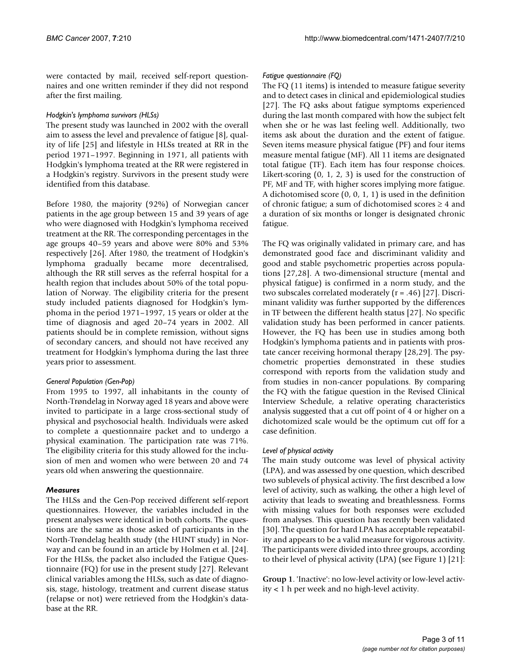were contacted by mail, received self-report questionnaires and one written reminder if they did not respond after the first mailing.

#### *Hodgkin's lymphoma survivors (HLSs)*

The present study was launched in 2002 with the overall aim to assess the level and prevalence of fatigue [8], quality of life [25] and lifestyle in HLSs treated at RR in the period 1971–1997. Beginning in 1971, all patients with Hodgkin's lymphoma treated at the RR were registered in a Hodgkin's registry. Survivors in the present study were identified from this database.

Before 1980, the majority (92%) of Norwegian cancer patients in the age group between 15 and 39 years of age who were diagnosed with Hodgkin's lymphoma received treatment at the RR. The corresponding percentages in the age groups 40–59 years and above were 80% and 53% respectively [26]. After 1980, the treatment of Hodgkin's lymphoma gradually became more decentralised, although the RR still serves as the referral hospital for a health region that includes about 50% of the total population of Norway. The eligibility criteria for the present study included patients diagnosed for Hodgkin's lymphoma in the period 1971–1997, 15 years or older at the time of diagnosis and aged 20–74 years in 2002. All patients should be in complete remission, without signs of secondary cancers, and should not have received any treatment for Hodgkin's lymphoma during the last three years prior to assessment.

### *General Population (Gen-Pop)*

From 1995 to 1997, all inhabitants in the county of North-Trøndelag in Norway aged 18 years and above were invited to participate in a large cross-sectional study of physical and psychosocial health. Individuals were asked to complete a questionnaire packet and to undergo a physical examination. The participation rate was 71%. The eligibility criteria for this study allowed for the inclusion of men and women who were between 20 and 74 years old when answering the questionnaire.

### *Measures*

The HLSs and the Gen-Pop received different self-report questionnaires. However, the variables included in the present analyses were identical in both cohorts. The questions are the same as those asked of participants in the North-Trøndelag health study (the HUNT study) in Norway and can be found in an article by Holmen et al. [24]. For the HLSs, the packet also included the Fatigue Questionnaire (FQ) for use in the present study [27]. Relevant clinical variables among the HLSs, such as date of diagnosis, stage, histology, treatment and current disease status (relapse or not) were retrieved from the Hodgkin's database at the RR.

### *Fatigue questionnaire (FQ)*

The FQ (11 items) is intended to measure fatigue severity and to detect cases in clinical and epidemiological studies [27]. The FQ asks about fatigue symptoms experienced during the last month compared with how the subject felt when she or he was last feeling well. Additionally, two items ask about the duration and the extent of fatigue. Seven items measure physical fatigue (PF) and four items measure mental fatigue (MF). All 11 items are designated total fatigue (TF). Each item has four response choices. Likert-scoring (0, 1, 2, 3) is used for the construction of PF, MF and TF, with higher scores implying more fatigue. A dichotomised score (0, 0, 1, 1) is used in the definition of chronic fatigue; a sum of dichotomised scores  $\geq 4$  and a duration of six months or longer is designated chronic fatigue.

The FQ was originally validated in primary care, and has demonstrated good face and discriminant validity and good and stable psychometric properties across populations [27,28]. A two-dimensional structure (mental and physical fatigue) is confirmed in a norm study, and the two subscales correlated moderately  $(r = .46)$  [27]. Discriminant validity was further supported by the differences in TF between the different health status [27]. No specific validation study has been performed in cancer patients. However, the FQ has been use in studies among both Hodgkin's lymphoma patients and in patients with prostate cancer receiving hormonal therapy [28,29]. The psychometric properties demonstrated in these studies correspond with reports from the validation study and from studies in non-cancer populations. By comparing the FQ with the fatigue question in the Revised Clinical Interview Schedule, a relative operating characteristics analysis suggested that a cut off point of 4 or higher on a dichotomized scale would be the optimum cut off for a case definition.

### *Level of physical activity*

The main study outcome was level of physical activity (LPA), and was assessed by one question, which described two sublevels of physical activity. The first described a low level of activity, such as walking, the other a high level of activity that leads to sweating and breathlessness. Forms with missing values for both responses were excluded from analyses. This question has recently been validated [30]. The question for hard LPA has acceptable repeatability and appears to be a valid measure for vigorous activity. The participants were divided into three groups, according to their level of physical activity (LPA) (see Figure 1) [21]:

**Group 1**. 'Inactive': no low-level activity or low-level activity < 1 h per week and no high-level activity.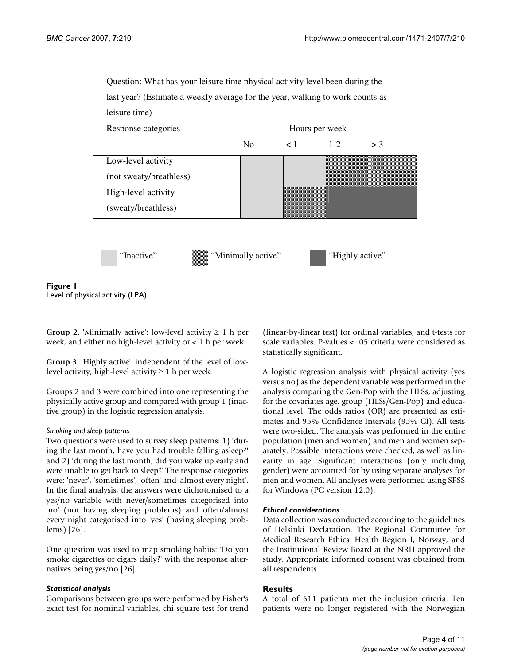

**Group 2.** 'Minimally active': low-level activity  $\geq 1$  h per week, and either no high-level activity or < 1 h per week.

**Group 3**. 'Highly active': independent of the level of lowlevel activity, high-level activity  $\geq 1$  h per week.

Groups 2 and 3 were combined into one representing the physically active group and compared with group 1 (inactive group) in the logistic regression analysis.

#### *Smoking and sleep patterns*

Two questions were used to survey sleep patterns: 1) 'during the last month, have you had trouble falling asleep?' and 2) 'during the last month, did you wake up early and were unable to get back to sleep?' The response categories were: 'never', 'sometimes', 'often' and 'almost every night'. In the final analysis, the answers were dichotomised to a yes/no variable with never/sometimes categorised into 'no' (not having sleeping problems) and often/almost every night categorised into 'yes' (having sleeping problems) [26].

One question was used to map smoking habits: 'Do you smoke cigarettes or cigars daily?' with the response alternatives being yes/no [26].

#### *Statistical analysis*

Comparisons between groups were performed by Fisher's exact test for nominal variables, chi square test for trend

(linear-by-linear test) for ordinal variables, and t-tests for scale variables. P-values < .05 criteria were considered as statistically significant.

A logistic regression analysis with physical activity (yes versus no) as the dependent variable was performed in the analysis comparing the Gen-Pop with the HLSs, adjusting for the covariates age, group (HLSs/Gen-Pop) and educational level. The odds ratios (OR) are presented as estimates and 95% Confidence Intervals (95% CI). All tests were two-sided. The analysis was performed in the entire population (men and women) and men and women separately. Possible interactions were checked, as well as linearity in age. Significant interactions (only including gender) were accounted for by using separate analyses for men and women. All analyses were performed using SPSS for Windows (PC version 12.0).

#### *Ethical considerations*

Data collection was conducted according to the guidelines of Helsinki Declaration. The Regional Committee for Medical Research Ethics, Health Region I, Norway, and the Institutional Review Board at the NRH approved the study. Appropriate informed consent was obtained from all respondents.

### **Results**

A total of 611 patients met the inclusion criteria. Ten patients were no longer registered with the Norwegian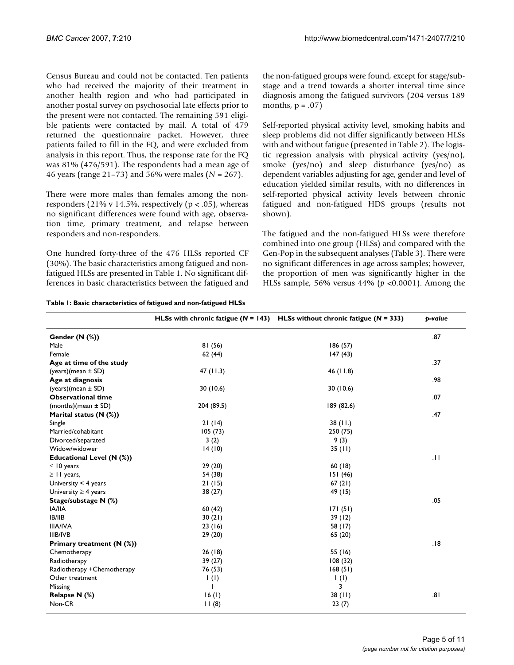Census Bureau and could not be contacted. Ten patients who had received the majority of their treatment in another health region and who had participated in another postal survey on psychosocial late effects prior to the present were not contacted. The remaining 591 eligible patients were contacted by mail. A total of 479 returned the questionnaire packet. However, three patients failed to fill in the FQ, and were excluded from analysis in this report. Thus, the response rate for the FQ was 81% (476/591). The respondents had a mean age of 46 years (range 21–73) and 56% were males (*N* = 267).

There were more males than females among the nonresponders (21% v 14.5%, respectively ( $p < .05$ ), whereas no significant differences were found with age, observation time, primary treatment, and relapse between responders and non-responders.

One hundred forty-three of the 476 HLSs reported CF (30%). The basic characteristics among fatigued and nonfatigued HLSs are presented in Table 1. No significant differences in basic characteristics between the fatigued and the non-fatigued groups were found, except for stage/substage and a trend towards a shorter interval time since diagnosis among the fatigued survivors (204 versus 189 months,  $p = .07$ 

Self-reported physical activity level, smoking habits and sleep problems did not differ significantly between HLSs with and without fatigue (presented in Table 2). The logistic regression analysis with physical activity (yes/no), smoke (yes/no) and sleep disturbance (yes/no) as dependent variables adjusting for age, gender and level of education yielded similar results, with no differences in self-reported physical activity levels between chronic fatigued and non-fatigued HDS groups (results not shown).

The fatigued and the non-fatigued HLSs were therefore combined into one group (HLSs) and compared with the Gen-Pop in the subsequent analyses (Table 3). There were no significant differences in age across samples; however, the proportion of men was significantly higher in the HLSs sample, 56% versus 44% (*p <*0.0001). Among the

|                            |                          | HLSs with chronic fatigue ( $N = 143$ ) HLSs without chronic fatigue ( $N = 333$ ) | p-value |
|----------------------------|--------------------------|------------------------------------------------------------------------------------|---------|
| Gender (N (%))             |                          |                                                                                    | .87     |
| Male                       | 81(56)                   | 186(57)                                                                            |         |
| Female                     | 62(44)                   | 147(43)                                                                            |         |
| Age at time of the study   |                          |                                                                                    | .37     |
| (years)(mean ± SD)         | 47(11.3)                 | 46 $(11.8)$                                                                        |         |
| Age at diagnosis           |                          |                                                                                    | .98     |
| (years)(mean ± SD)         | 30(10.6)                 | 30(10.6)                                                                           |         |
| <b>Observational time</b>  |                          |                                                                                    | .07     |
| (months) (mean $\pm$ SD)   | 204 (89.5)               | 189 (82.6)                                                                         |         |
| Marital status (N (%))     |                          |                                                                                    | .47     |
| Single                     | 21(14)                   | 38(11.)                                                                            |         |
| Married/cohabitant         | 105(73)                  | 250 (75)                                                                           |         |
| Divorced/separated         | 3(2)                     | 9(3)                                                                               |         |
| Widow/widower              | 14(10)                   | 35(11)                                                                             |         |
| Educational Level (N (%))  |                          |                                                                                    | .11     |
| $\leq 10$ years            | 29 (20)                  | 60(18)                                                                             |         |
| $\geq$ 11 years,           | 54 (38)                  | 151(46)                                                                            |         |
| University $<$ 4 years     | 21(15)                   | 67(21)                                                                             |         |
| University $\geq$ 4 years  | 38 (27)                  | 49 (15)                                                                            |         |
| Stage/substage N (%)       |                          |                                                                                    | .05     |
| <b>IA/IIA</b>              | 60(42)                   | 171(51)                                                                            |         |
| IB/IIB                     | 30(21)                   | 39(12)                                                                             |         |
| <b>IIIA/IVA</b>            | 23(16)                   | 58 (17)                                                                            |         |
| <b>IIIB/IVB</b>            | 29 (20)                  | 65 (20)                                                                            |         |
| Primary treatment (N (%))  |                          |                                                                                    | .18     |
| Chemotherapy               | 26(18)                   | 55 (16)                                                                            |         |
| Radiotherapy               | 39(27)                   | 108(32)                                                                            |         |
| Radiotherapy +Chemotherapy | 76 (53)                  | 168(51)                                                                            |         |
| Other treatment            | $\mathbf{I}(\mathbf{I})$ | $\mathbf{I}(\mathbf{I})$                                                           |         |
| Missing                    |                          | 3                                                                                  |         |
| Relapse N (%)              | 16(1)                    | 38(11)                                                                             | .81     |
| Non-CR                     | 11(8)                    | 23(7)                                                                              |         |

**Table 1: Basic characteristics of fatigued and non-fatigued HLSs**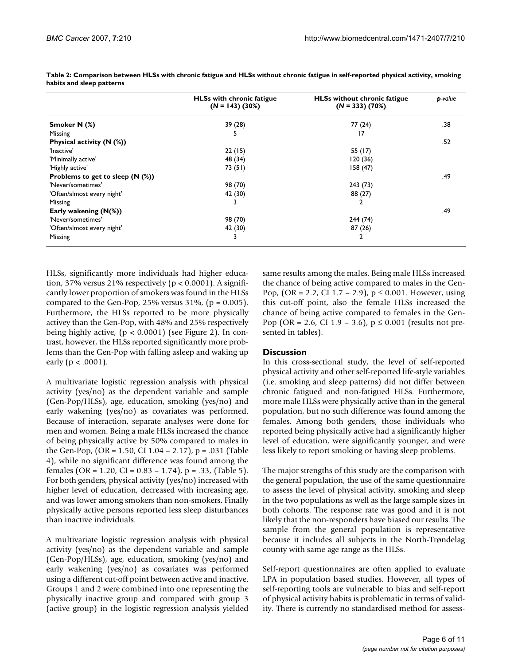|                                   | <b>HLSs with chronic fatigue</b><br>$(N = 143)$ (30%) | <b>HLSs without chronic fatigue</b><br>$(N = 333)$ (70%) | p-value |
|-----------------------------------|-------------------------------------------------------|----------------------------------------------------------|---------|
| Smoker N (%)                      | 39 (28)                                               | 77 (24)                                                  | .38     |
| Missing                           | ь                                                     | 17                                                       |         |
| Physical activity $(N$ (%))       |                                                       |                                                          | .52     |
| 'Inactive'                        | 22(15)                                                | 55 (17)                                                  |         |
| 'Minimally active'                | 48 (34)                                               | 120(36)                                                  |         |
| 'Highly active'                   | 73 (51)                                               | 158(47)                                                  |         |
| Problems to get to sleep $(N \%)$ |                                                       |                                                          | .49     |
| 'Never/sometimes'                 | 98 (70)                                               | 243 (73)                                                 |         |
| 'Often/almost every night'        | 42 (30)                                               | 88 (27)                                                  |         |
| Missing                           |                                                       |                                                          |         |
| Early wakening $(N(\%))$          |                                                       |                                                          | .49     |
| 'Never/sometimes'                 | 98 (70)                                               | 244 (74)                                                 |         |
| 'Often/almost every night'        | 42 (30)                                               | 87(26)                                                   |         |
| Missing                           | 3                                                     |                                                          |         |

**Table 2: Comparison between HLSs with chronic fatigue and HLSs without chronic fatigue in self-reported physical activity, smoking habits and sleep patterns**

HLSs, significantly more individuals had higher education, 37% versus 21% respectively ( $p < 0.0001$ ). A significantly lower proportion of smokers was found in the HLSs compared to the Gen-Pop,  $25%$  versus  $31%$ , (p = 0.005). Furthermore, the HLSs reported to be more physically activey than the Gen-Pop, with 48% and 25% respectively being highly active,  $(p < 0.0001)$  (see Figure 2). In contrast, however, the HLSs reported significantly more problems than the Gen-Pop with falling asleep and waking up early ( $p < .0001$ ).

A multivariate logistic regression analysis with physical activity (yes/no) as the dependent variable and sample (Gen-Pop/HLSs), age, education, smoking (yes/no) and early wakening (yes/no) as covariates was performed. Because of interaction, separate analyses were done for men and women. Being a male HLSs increased the chance of being physically active by 50% compared to males in the Gen-Pop, (OR = 1.50, CI 1.04 – 2.17), p = .031 (Table 4), while no significant difference was found among the females (OR = 1.20, CI =  $0.83 - 1.74$ ), p = .33, (Table 5). For both genders, physical activity (yes/no) increased with higher level of education, decreased with increasing age, and was lower among smokers than non-smokers. Finally physically active persons reported less sleep disturbances than inactive individuals.

A multivariate logistic regression analysis with physical activity (yes/no) as the dependent variable and sample (Gen-Pop/HLSs), age, education, smoking (yes/no) and early wakening (yes/no) as covariates was performed using a different cut-off point between active and inactive. Groups 1 and 2 were combined into one representing the physically inactive group and compared with group 3 (active group) in the logistic regression analysis yielded

same results among the males. Being male HLSs increased the chance of being active compared to males in the Gen-Pop,  $(OR = 2.2, CI 1.7 - 2.9)$ ,  $p \le 0.001$ . However, using this cut-off point, also the female HLSs increased the chance of being active compared to females in the Gen-Pop (OR = 2.6, CI 1.9 – 3.6),  $p \le 0.001$  (results not presented in tables).

### **Discussion**

In this cross-sectional study, the level of self-reported physical activity and other self-reported life-style variables (i.e. smoking and sleep patterns) did not differ between chronic fatigued and non-fatigued HLSs. Furthermore, more male HLSs were physically active than in the general population, but no such difference was found among the females. Among both genders, those individuals who reported being physically active had a significantly higher level of education, were significantly younger, and were less likely to report smoking or having sleep problems.

The major strengths of this study are the comparison with the general population, the use of the same questionnaire to assess the level of physical activity, smoking and sleep in the two populations as well as the large sample sizes in both cohorts. The response rate was good and it is not likely that the non-responders have biased our results. The sample from the general population is representative because it includes all subjects in the North-Trøndelag county with same age range as the HLSs.

Self-report questionnaires are often applied to evaluate LPA in population based studies. However, all types of self-reporting tools are vulnerable to bias and self-report of physical activity habits is problematic in terms of validity. There is currently no standardised method for assess-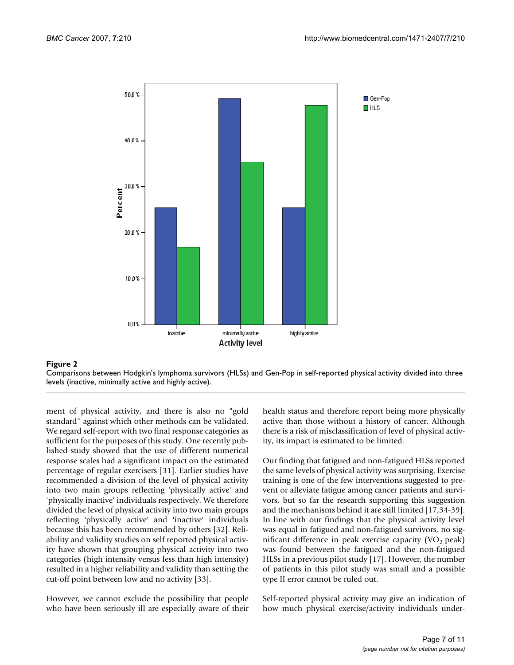

Comparisons between Hodgkin's lymphoma survivors (HLSs) and Gen-Pop in self-reported physical activity divided into three levels (inactive, minimally active and highly active).

ment of physical activity, and there is also no "gold standard" against which other methods can be validated. We regard self-report with two final response categories as sufficient for the purposes of this study. One recently published study showed that the use of different numerical response scales had a significant impact on the estimated percentage of regular exercisers [31]. Earlier studies have recommended a division of the level of physical activity into two main groups reflecting 'physically active' and 'physically inactive' individuals respectively. We therefore divided the level of physical activity into two main groups reflecting 'physically active' and 'inactive' individuals because this has been recommended by others [32]. Reliability and validity studies on self reported physical activity have shown that grouping physical activity into two categories (high intensity versus less than high intensity) resulted in a higher reliability and validity than setting the cut-off point between low and no activity [33].

However, we cannot exclude the possibility that people who have been seriously ill are especially aware of their health status and therefore report being more physically active than those without a history of cancer. Although there is a risk of misclassification of level of physical activity, its impact is estimated to be limited.

Our finding that fatigued and non-fatigued HLSs reported the same levels of physical activity was surprising. Exercise training is one of the few interventions suggested to prevent or alleviate fatigue among cancer patients and survivors, but so far the research supporting this suggestion and the mechanisms behind it are still limited [17,34-39]. In line with our findings that the physical activity level was equal in fatigued and non-fatigued survivors, no significant difference in peak exercise capacity  $(VO, peak)$ was found between the fatigued and the non-fatigued HLSs in a previous pilot study [17]. However, the number of patients in this pilot study was small and a possible type II error cannot be ruled out.

Self-reported physical activity may give an indication of how much physical exercise/activity individuals under-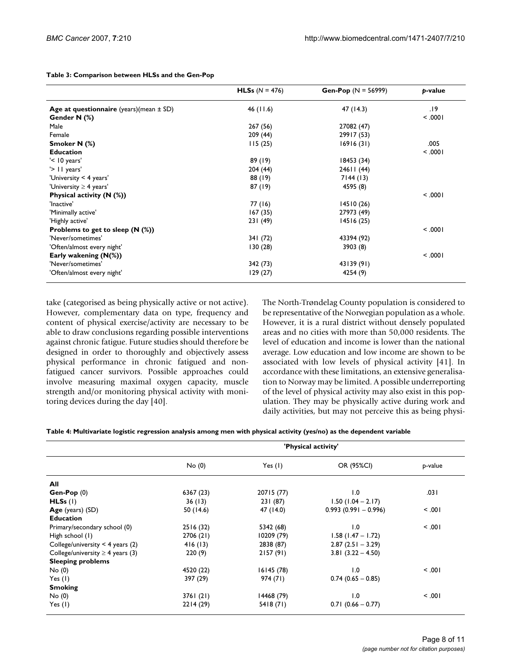|                                             | <b>HLSs</b> $(N = 476)$ | <b>Gen-Pop</b> $(N = 56999)$ | b-value   |
|---------------------------------------------|-------------------------|------------------------------|-----------|
| Age at questionnaire (years)(mean $\pm$ SD) | 46(11.6)                | 47 (14.3)                    | 19.       |
| Gender N (%)                                |                         |                              | $ 000.$ > |
| Male                                        | 267 (56)                | 27082 (47)                   |           |
| Female                                      | 209 (44)                | 29917 (53)                   |           |
| Smoker N (%)                                | 115(25)                 | 16916(31)                    | .005      |
| <b>Education</b>                            |                         |                              | 1000.     |
| $'$ < 10 years'                             | 89 (19)                 | 18453 (34)                   |           |
| '> 11 years'                                | 204(44)                 | 24611 (44)                   |           |
| 'University < 4 years'                      | 88 (19)                 | 7144(13)                     |           |
| 'University $\geq$ 4 years'                 | 87 (19)                 | 4595 (8)                     |           |
| Physical activity $(N$ (%))                 |                         |                              | < 0.001   |
| 'Inactive'                                  | 77 (16)                 | 14510(26)                    |           |
| 'Minimally active'                          | 167(35)                 | 27973 (49)                   |           |
| 'Highly active'                             | 231 (49)                | 14516(25)                    |           |
| Problems to get to sleep $(N \%)$           |                         |                              | < 0.001   |
| 'Never/sometimes'                           | 341 (72)                | 43394 (92)                   |           |
| 'Often/almost every night'                  | 130(28)                 | 3903 (8)                     |           |
| Early wakening $(N(\%))$                    |                         |                              | < 0.001   |
| 'Never/sometimes'                           | 342 (73)                | 43139 (91)                   |           |
| 'Often/almost every night'                  | 129(27)                 | 4254 (9)                     |           |
|                                             |                         |                              |           |

**Table 3: Comparison between HLSs and the Gen-Pop**

take (categorised as being physically active or not active). However, complementary data on type, frequency and content of physical exercise/activity are necessary to be able to draw conclusions regarding possible interventions against chronic fatigue. Future studies should therefore be designed in order to thoroughly and objectively assess physical performance in chronic fatigued and nonfatigued cancer survivors. Possible approaches could involve measuring maximal oxygen capacity, muscle strength and/or monitoring physical activity with monitoring devices during the day [40].

The North-Trøndelag County population is considered to be representative of the Norwegian population as a whole. However, it is a rural district without densely populated areas and no cities with more than 50,000 residents. The level of education and income is lower than the national average. Low education and low income are shown to be associated with low levels of physical activity [41]. In accordance with these limitations, an extensive generalisation to Norway may be limited. A possible underreporting of the level of physical activity may also exist in this population. They may be physically active during work and daily activities, but may not perceive this as being physi-

|                                       | 'Physical activity' |            |                        |         |
|---------------------------------------|---------------------|------------|------------------------|---------|
|                                       | No(0)               | Yes $(1)$  | OR (95%CI)             | p-value |
| All                                   |                     |            |                        |         |
| $Gen-Pop(0)$                          | 6367 (23)           | 20715 (77) | 1.0                    | .031    |
| HLSs (I)                              | 36(13)              | 231 (87)   | $1.50(1.04 - 2.17)$    |         |
| Age (years) (SD)                      | 50 (14.6)           | 47 (14.0)  | $0.993(0.991 - 0.996)$ | $-0.01$ |
| <b>Education</b>                      |                     |            |                        |         |
| Primary/secondary school (0)          | 2516(32)            | 5342 (68)  | 1.0                    | 100.    |
| High school (1)                       | 2706 (21)           | 10209 (79) | $1.58$ (1.47 – 1.72)   |         |
| College/university $<$ 4 years (2)    | 416(13)             | 2838 (87)  | $2.87(2.51 - 3.29)$    |         |
| College/university $\geq 4$ years (3) | 220(9)              | 2157(91)   | $3.81(3.22 - 4.50)$    |         |
| <b>Sleeping problems</b>              |                     |            |                        |         |
| No(0)                                 | 4520 (22)           | 16145 (78) | 1.0                    | 100.    |
| Yes $(1)$                             | 397 (29)            | 974 (71)   | $0.74(0.65 - 0.85)$    |         |
| <b>Smoking</b>                        |                     |            |                        |         |
| No(0)                                 | 3761(21)            | 14468 (79) | 1.0                    | 100.    |
| Yes $(1)$                             | 2214 (29)           | 5418(71)   | $0.71(0.66 - 0.77)$    |         |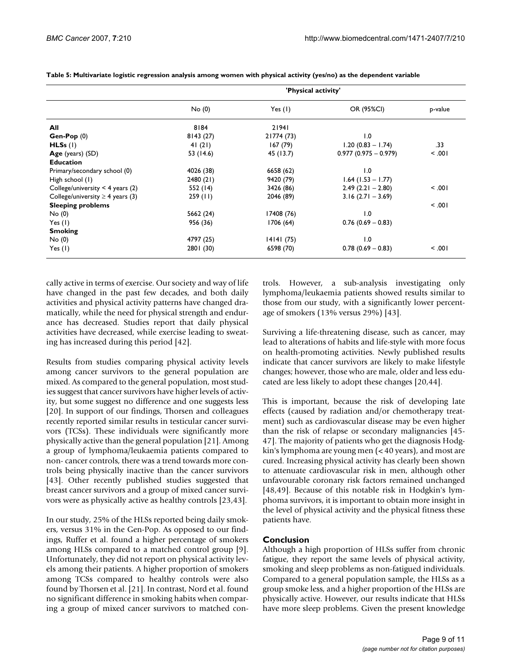| 'Physical activity' |            |                        |         |
|---------------------|------------|------------------------|---------|
| No(0)               | Yes $(I)$  | OR (95%CI)             | p-value |
| 8184                | 21941      |                        |         |
| 8143(27)            | 21774 (73) | $\overline{0}$ .       |         |
| 41(21)              | 167(79)    | $1.20(0.83 - 1.74)$    | .33     |
| 53 (14.6)           | 45 (13.7)  | $0.977(0.975 - 0.979)$ | < 0.01  |
|                     |            |                        |         |
| 4026 (38)           | 6658 (62)  | 1.0                    |         |
| 2480 (21)           | 9420 (79)  | $1.64$ (1.53 – 1.77)   |         |
| 552 (14)            | 3426 (86)  | $2.49(2.21 - 2.80)$    | 100.    |
| 259(11)             | 2046 (89)  | $3.16$ (2.71 - 3.69)   |         |
|                     |            |                        | 5.001   |
| 5662 (24)           | 17408 (76) | 0. ا                   |         |
| 956 (36)            | 1706(64)   | $0.76$ (0.69 - 0.83)   |         |
|                     |            |                        |         |
| 4797 (25)           | 14141(75)  | 1.0                    |         |
| 2801 (30)           | 6598 (70)  | $0.78(0.69 - 0.83)$    | 5.001   |
|                     |            |                        |         |

**Table 5: Multivariate logistic regression analysis among women with physical activity (yes/no) as the dependent variable**

cally active in terms of exercise. Our society and way of life have changed in the past few decades, and both daily activities and physical activity patterns have changed dramatically, while the need for physical strength and endurance has decreased. Studies report that daily physical activities have decreased, while exercise leading to sweating has increased during this period [42].

Results from studies comparing physical activity levels among cancer survivors to the general population are mixed. As compared to the general population, most studies suggest that cancer survivors have higher levels of activity, but some suggest no difference and one suggests less [20]. In support of our findings, Thorsen and colleagues recently reported similar results in testicular cancer survivors (TCSs). These individuals were significantly more physically active than the general population [21]. Among a group of lymphoma/leukaemia patients compared to non- cancer controls, there was a trend towards more controls being physically inactive than the cancer survivors [43]. Other recently published studies suggested that breast cancer survivors and a group of mixed cancer survivors were as physically active as healthy controls [23,43].

In our study, 25% of the HLSs reported being daily smokers, versus 31% in the Gen-Pop. As opposed to our findings, Ruffer et al. found a higher percentage of smokers among HLSs compared to a matched control group [9]. Unfortunately, they did not report on physical activity levels among their patients. A higher proportion of smokers among TCSs compared to healthy controls were also found by Thorsen et al. [21]. In contrast, Nord et al. found no significant difference in smoking habits when comparing a group of mixed cancer survivors to matched controls. However, a sub-analysis investigating only lymphoma/leukaemia patients showed results similar to those from our study, with a significantly lower percentage of smokers (13% versus 29%) [43].

Surviving a life-threatening disease, such as cancer, may lead to alterations of habits and life-style with more focus on health-promoting activities. Newly published results indicate that cancer survivors are likely to make lifestyle changes; however, those who are male, older and less educated are less likely to adopt these changes [20,44].

This is important, because the risk of developing late effects (caused by radiation and/or chemotherapy treatment) such as cardiovascular disease may be even higher than the risk of relapse or secondary malignancies [45- 47]. The majority of patients who get the diagnosis Hodgkin's lymphoma are young men (< 40 years), and most are cured. Increasing physical activity has clearly been shown to attenuate cardiovascular risk in men, although other unfavourable coronary risk factors remained unchanged [48,49]. Because of this notable risk in Hodgkin's lymphoma survivors, it is important to obtain more insight in the level of physical activity and the physical fitness these patients have.

### **Conclusion**

Although a high proportion of HLSs suffer from chronic fatigue, they report the same levels of physical activity, smoking and sleep problems as non-fatigued individuals. Compared to a general population sample, the HLSs as a group smoke less, and a higher proportion of the HLSs are physically active. However, our results indicate that HLSs have more sleep problems. Given the present knowledge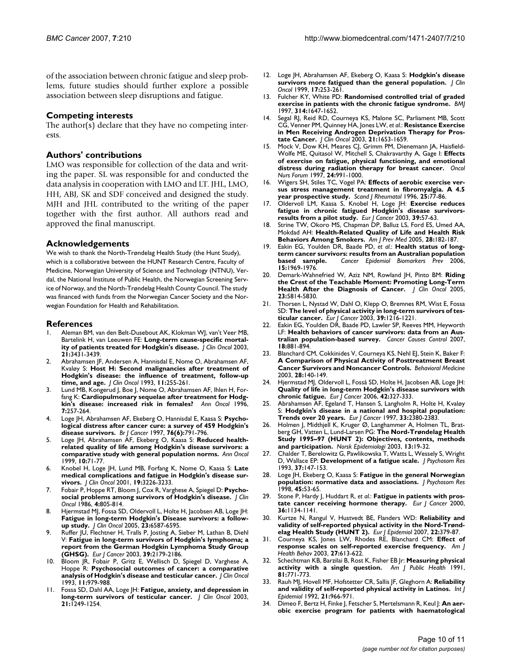of the association between chronic fatigue and sleep problems, future studies should further explore a possible association between sleep disruptions and fatigue.

#### **Competing interests**

The author(s) declare that they have no competing interests.

#### **Authors' contributions**

LMO was responsible for collection of the data and writing the paper. SL was responsible for and conducted the data analysis in cooperation with LMO and LT. JHL, LMO, HH, ABJ, SK and SDF conceived and designed the study. MJH and JHL contributed to the writing of the paper together with the first author. All authors read and approved the final manuscript.

#### **Acknowledgements**

We wish to thank the North-Trøndelag Health Study (the Hunt Study), which is a collaborative between the HUNT Research Centre, Faculty of Medicine, Norwegian University of Science and Technology (NTNU), Verdal, the National Institute of Public Health, the Norwegian Screening Service of Norway, and the North-Trøndelag Health County Council. The study was financed with funds from the Norwegian Cancer Society and the Norwegian Foundation for Health and Rehabilitation.

#### **References**

- 1. Aleman BM, van den Belt-Dusebout AK, Klokman WJ, van't Veer MB, Bartelink H, van Leeuwen FE: **[Long-term cause-specific mortal](http://www.ncbi.nlm.nih.gov/entrez/query.fcgi?cmd=Retrieve&db=PubMed&dopt=Abstract&list_uids=12885835)[ity of patients treated for Hodgkin's disease.](http://www.ncbi.nlm.nih.gov/entrez/query.fcgi?cmd=Retrieve&db=PubMed&dopt=Abstract&list_uids=12885835)** *J Clin Oncol* 2003, **21:**3431-3439.
- 2. Abrahamsen JF, Andersen A, Hannisdal E, Nome O, Abrahamsen AF, Kvaløy S: **[Host H: Second malignancies after treatment of](http://www.ncbi.nlm.nih.gov/entrez/query.fcgi?cmd=Retrieve&db=PubMed&dopt=Abstract&list_uids=8426202) [Hodgkin's disease: the influence of treatment, follow-up](http://www.ncbi.nlm.nih.gov/entrez/query.fcgi?cmd=Retrieve&db=PubMed&dopt=Abstract&list_uids=8426202) [time, and age.](http://www.ncbi.nlm.nih.gov/entrez/query.fcgi?cmd=Retrieve&db=PubMed&dopt=Abstract&list_uids=8426202)** *J Clin Oncol* 1993, **11:**255-261.
- 3. Lund MB, Kongerud J, Boe J, Nome O, Abrahamsen AF, Ihlen H, Forfang K: **[Cardiopulmonary sequelae after treatment for Hodg](http://www.ncbi.nlm.nih.gov/entrez/query.fcgi?cmd=Retrieve&db=PubMed&dopt=Abstract&list_uids=8740789)[kin's disease: increased risk in females?](http://www.ncbi.nlm.nih.gov/entrez/query.fcgi?cmd=Retrieve&db=PubMed&dopt=Abstract&list_uids=8740789)** *Ann Oncol* 1996, **7:**257-264.
- 4. Loge JH, Abrahamsen AF, Ekeberg O, Hannisdal E, Kaasa S: **[Psycho](http://www.ncbi.nlm.nih.gov/entrez/query.fcgi?cmd=Retrieve&db=PubMed&dopt=Abstract&list_uids=9310248)[logical distress after cancer cure: a survey of 459 Hodgkin's](http://www.ncbi.nlm.nih.gov/entrez/query.fcgi?cmd=Retrieve&db=PubMed&dopt=Abstract&list_uids=9310248) [disease survivors.](http://www.ncbi.nlm.nih.gov/entrez/query.fcgi?cmd=Retrieve&db=PubMed&dopt=Abstract&list_uids=9310248)** *Br J Cancer* 1997, **76(6):**791-796.
- 5. Loge JH, Abrahamsen AF, Ekeberg O, Kaasa S: **[Reduced health](http://www.ncbi.nlm.nih.gov/entrez/query.fcgi?cmd=Retrieve&db=PubMed&dopt=Abstract&list_uids=10076725)[related quality of life among Hodgkin's disease survivors: a](http://www.ncbi.nlm.nih.gov/entrez/query.fcgi?cmd=Retrieve&db=PubMed&dopt=Abstract&list_uids=10076725) [comparative study with general population norms.](http://www.ncbi.nlm.nih.gov/entrez/query.fcgi?cmd=Retrieve&db=PubMed&dopt=Abstract&list_uids=10076725)** *Ann Oncol* 1999, **10:**71-77.
- 6. Knobel H, Loge JH, Lund MB, Forfang K, Nome O, Kaasa S: **[Late](http://www.ncbi.nlm.nih.gov/entrez/query.fcgi?cmd=Retrieve&db=PubMed&dopt=Abstract&list_uids=11432890) [medical complications and fatigue in Hodgkin's disease sur](http://www.ncbi.nlm.nih.gov/entrez/query.fcgi?cmd=Retrieve&db=PubMed&dopt=Abstract&list_uids=11432890)[vivors.](http://www.ncbi.nlm.nih.gov/entrez/query.fcgi?cmd=Retrieve&db=PubMed&dopt=Abstract&list_uids=11432890)** *J Clin Oncol* 2001, **19:**3226-3233.
- 7. Fobair P, Hoppe RT, Bloom J, Cox R, Varghese A, Spiegel D: **[Psycho](http://www.ncbi.nlm.nih.gov/entrez/query.fcgi?cmd=Retrieve&db=PubMed&dopt=Abstract&list_uids=3486256)[social problems among survivors of Hodgkin's disease.](http://www.ncbi.nlm.nih.gov/entrez/query.fcgi?cmd=Retrieve&db=PubMed&dopt=Abstract&list_uids=3486256)** *J Clin Oncol* 1986, **4:**805-814.
- Hjermstad MJ, Fossa SD, Oldervoll L, Holte H, Jacobsen AB, Loge JH: **[Fatigue in long-term Hodgkin's Disease survivors: a follow](http://www.ncbi.nlm.nih.gov/entrez/query.fcgi?cmd=Retrieve&db=PubMed&dopt=Abstract&list_uids=16170166)[up study.](http://www.ncbi.nlm.nih.gov/entrez/query.fcgi?cmd=Retrieve&db=PubMed&dopt=Abstract&list_uids=16170166)** *J Clin Oncol* 2005, **23:**6587-6595.
- 9. Ruffer JU, Flechtner H, Tralls P, Josting A, Sieber M, Lathan B, Diehl V: **[Fatigue in long-term survivors of Hodgkin's lymphoma; a](http://www.ncbi.nlm.nih.gov/entrez/query.fcgi?cmd=Retrieve&db=PubMed&dopt=Abstract&list_uids=14522376) [report from the German Hodgkin Lymphoma Study Group](http://www.ncbi.nlm.nih.gov/entrez/query.fcgi?cmd=Retrieve&db=PubMed&dopt=Abstract&list_uids=14522376) [\(GHSG\).](http://www.ncbi.nlm.nih.gov/entrez/query.fcgi?cmd=Retrieve&db=PubMed&dopt=Abstract&list_uids=14522376)** *Eur J Cancer* 2003, **39:**2179-2186.
- 10. Bloom JR, Fobair P, Gritz E, Wellisch D, Spiegel D, Varghese A, Hoppe R: **[Psychosocial outcomes of cancer: a comparative](http://www.ncbi.nlm.nih.gov/entrez/query.fcgi?cmd=Retrieve&db=PubMed&dopt=Abstract&list_uids=8487061) [analysis of Hodgkin's disease and testicular cancer.](http://www.ncbi.nlm.nih.gov/entrez/query.fcgi?cmd=Retrieve&db=PubMed&dopt=Abstract&list_uids=8487061)** *J Clin Oncol* 1993, **11:**979-988.
- 11. Fossa SD, Dahl AA, Loge JH: **[Fatigue, anxiety, and depression in](http://www.ncbi.nlm.nih.gov/entrez/query.fcgi?cmd=Retrieve&db=PubMed&dopt=Abstract&list_uids=12663711) [long-term survivors of testicular cancer.](http://www.ncbi.nlm.nih.gov/entrez/query.fcgi?cmd=Retrieve&db=PubMed&dopt=Abstract&list_uids=12663711)** *J Clin Oncol* 2003, **21:**1249-1254.
- 12. Loge JH, Abrahamsen AF, Ekeberg O, Kaasa S: **[Hodgkin's disease](http://www.ncbi.nlm.nih.gov/entrez/query.fcgi?cmd=Retrieve&db=PubMed&dopt=Abstract&list_uids=10458240) [survivors more fatigued than the general population.](http://www.ncbi.nlm.nih.gov/entrez/query.fcgi?cmd=Retrieve&db=PubMed&dopt=Abstract&list_uids=10458240)** *J Clin Oncol* 1999, **17:**253-261.
- 13. Fulcher KY, White PD: **[Randomised controlled trial of graded](http://www.ncbi.nlm.nih.gov/entrez/query.fcgi?cmd=Retrieve&db=PubMed&dopt=Abstract&list_uids=9180065) [exercise in patients with the chronic fatigue syndrome.](http://www.ncbi.nlm.nih.gov/entrez/query.fcgi?cmd=Retrieve&db=PubMed&dopt=Abstract&list_uids=9180065)** *BMJ* 1997, **314:**1647-1652.
- 14. Segal RJ, Reid RD, Courneya KS, Malone SC, Parliament MB, Scott CG, Venner PM, Quinney HA, Jones LW, *et al.*: **[Resistance Exercise](http://www.ncbi.nlm.nih.gov/entrez/query.fcgi?cmd=Retrieve&db=PubMed&dopt=Abstract&list_uids=12721238) [in Men Receiving Androgen Deprivation Therapy for Pros](http://www.ncbi.nlm.nih.gov/entrez/query.fcgi?cmd=Retrieve&db=PubMed&dopt=Abstract&list_uids=12721238)[tate Cancer.](http://www.ncbi.nlm.nih.gov/entrez/query.fcgi?cmd=Retrieve&db=PubMed&dopt=Abstract&list_uids=12721238)** *J Clin Oncol* 2003, **21:**1653-1659.
- 15. Mock V, Dow KH, Meares CJ, Grimm PM, Dienemann JA, Haisfield-Wolfe ME, Quitasol W, Mitchell S, Chakravarthy A, Gage I: **[Effects](http://www.ncbi.nlm.nih.gov/entrez/query.fcgi?cmd=Retrieve&db=PubMed&dopt=Abstract&list_uids=9243585) [of exercise on fatigue, physical functioning, and emotional](http://www.ncbi.nlm.nih.gov/entrez/query.fcgi?cmd=Retrieve&db=PubMed&dopt=Abstract&list_uids=9243585) [distress during radiation therapy for breast cancer.](http://www.ncbi.nlm.nih.gov/entrez/query.fcgi?cmd=Retrieve&db=PubMed&dopt=Abstract&list_uids=9243585)** *Oncol Nurs Forum* 1997, **24:**991-1000.
- 16. Wigers SH, Stiles TC, Vogel PA: **[Effects of aerobic exercise ver](http://www.ncbi.nlm.nih.gov/entrez/query.fcgi?cmd=Retrieve&db=PubMed&dopt=Abstract&list_uids=8614771)[sus stress management treatment in fibromyalgia. A 4.5](http://www.ncbi.nlm.nih.gov/entrez/query.fcgi?cmd=Retrieve&db=PubMed&dopt=Abstract&list_uids=8614771) [year prospective study.](http://www.ncbi.nlm.nih.gov/entrez/query.fcgi?cmd=Retrieve&db=PubMed&dopt=Abstract&list_uids=8614771)** *Scand J Rheumatol* 1996, **25:**77-86.
- 17. Oldervoll LM, Kaasa S, Knobel H, Loge JH: **[Exercise reduces](http://www.ncbi.nlm.nih.gov/entrez/query.fcgi?cmd=Retrieve&db=PubMed&dopt=Abstract&list_uids=12504659) [fatigue in chronic fatigued Hodgkin's disease survivors](http://www.ncbi.nlm.nih.gov/entrez/query.fcgi?cmd=Retrieve&db=PubMed&dopt=Abstract&list_uids=12504659)[results from a pilot study.](http://www.ncbi.nlm.nih.gov/entrez/query.fcgi?cmd=Retrieve&db=PubMed&dopt=Abstract&list_uids=12504659)** *Eur J Cancer* 2003, **39:**57-63.
- Strine TW, Okoro MS, Chapman DP, Balluz LS, Ford ES, Umed AA, Mokdad AH: **[Health-Related Quality of Life and Health Risk](http://www.ncbi.nlm.nih.gov/entrez/query.fcgi?cmd=Retrieve&db=PubMed&dopt=Abstract&list_uids=15710274) [Behaviors Among Smokers.](http://www.ncbi.nlm.nih.gov/entrez/query.fcgi?cmd=Retrieve&db=PubMed&dopt=Abstract&list_uids=15710274)** *Am J Prev Med* 2005, **28:**182-187.
- 19. Eakin EG, Youlden DR, Baade PD, *et al.*: **[Health status of long](http://www.ncbi.nlm.nih.gov/entrez/query.fcgi?cmd=Retrieve&db=PubMed&dopt=Abstract&list_uids=17035407)[term cancer survivors: results from an Australian population](http://www.ncbi.nlm.nih.gov/entrez/query.fcgi?cmd=Retrieve&db=PubMed&dopt=Abstract&list_uids=17035407) [based sample.](http://www.ncbi.nlm.nih.gov/entrez/query.fcgi?cmd=Retrieve&db=PubMed&dopt=Abstract&list_uids=17035407)** *Cancer Epidemiol Biomarkers Prev* 2006, **15:**1969-1976.
- 20. Demark-Wahnefried W, Aziz NM, Rowland JH, Pinto BM: **[Riding](http://www.ncbi.nlm.nih.gov/entrez/query.fcgi?cmd=Retrieve&db=PubMed&dopt=Abstract&list_uids=16043830) [the Crest of the Teachable Moment: Promoting Long-Term](http://www.ncbi.nlm.nih.gov/entrez/query.fcgi?cmd=Retrieve&db=PubMed&dopt=Abstract&list_uids=16043830) [Health After the Diagnosis of Cancer.](http://www.ncbi.nlm.nih.gov/entrez/query.fcgi?cmd=Retrieve&db=PubMed&dopt=Abstract&list_uids=16043830)** *J Clin Oncol* 2005, **23:**5814-5830.
- 21. Thorsen L, Nystad W, Dahl O, Klepp O, Bremnes RM, Wist E, Fossa SD: **[The level of physical activity in long-term survivors of tes](http://www.ncbi.nlm.nih.gov/entrez/query.fcgi?cmd=Retrieve&db=PubMed&dopt=Abstract&list_uids=12763208)[ticular cancer.](http://www.ncbi.nlm.nih.gov/entrez/query.fcgi?cmd=Retrieve&db=PubMed&dopt=Abstract&list_uids=12763208)** *Eur J Cancer* 2003, **39:**1216-1221.
- Eakin EG, Youlden DR, Baade PD, Lawler SP, Reeves MM, Heyworth LF: **[Health behaviors of cancer survivors: data from an Aus](http://www.ncbi.nlm.nih.gov/entrez/query.fcgi?cmd=Retrieve&db=PubMed&dopt=Abstract&list_uids=17638108)[tralian population-based survey.](http://www.ncbi.nlm.nih.gov/entrez/query.fcgi?cmd=Retrieve&db=PubMed&dopt=Abstract&list_uids=17638108)** *Cancer Causes Control* 2007, **18:**881-894.
- 23. Blanchard CM, Cokkinides V, Courneya KS, Nehl EJ, Stein K, Baker F: **[A Comparison of Physical Activity of Posttreatment Breast](http://www.ncbi.nlm.nih.gov/entrez/query.fcgi?cmd=Retrieve&db=PubMed&dopt=Abstract&list_uids=14663921) [Cancer Survivors and Noncancer Controls.](http://www.ncbi.nlm.nih.gov/entrez/query.fcgi?cmd=Retrieve&db=PubMed&dopt=Abstract&list_uids=14663921)** *Behavioral Medicine* 2003, **28:**140-149.
- 24. Hjermstad MJ, Oldervoll L, Fosså SD, Holte H, Jacobsen AB, Loge JH: **[Quality of life in long-term Hodgkin's disease survivors with](http://www.ncbi.nlm.nih.gov/entrez/query.fcgi?cmd=Retrieve&db=PubMed&dopt=Abstract&list_uids=16377179) [chronic fatigue.](http://www.ncbi.nlm.nih.gov/entrez/query.fcgi?cmd=Retrieve&db=PubMed&dopt=Abstract&list_uids=16377179)** *Eur J Cancer* 2006, **42:**327-333.
- 25. Abrahamsen AF, Egeland T, Hansen S, Langholm R, Holte H, Kvaløy S: **[Hodgkin's disease in a national and hospital population:](http://www.ncbi.nlm.nih.gov/entrez/query.fcgi?cmd=Retrieve&db=PubMed&dopt=Abstract&list_uids=9616285) [Trends over 20 years.](http://www.ncbi.nlm.nih.gov/entrez/query.fcgi?cmd=Retrieve&db=PubMed&dopt=Abstract&list_uids=9616285)** *Eur J Cancer* 1997, **33:**2380-2383.
- Holmen J, Midthjell K, Kruger Ø, Langhammer A, Holmen TL, Bratberg GH, Vatten L, Lund-Larsen PG: **The Nord-Trøndelag Health Study 1995–97 (HUNT 2): Objectives, contents, methods and participation.** *Norsk Epidemiologi* 2003, **13:**19-32.
- 27. Chalder T, Berelowitz G, Pawlikowska T, Watts L, Wessely S, Wright D, Wallace EP: **[Development of a fatigue scale.](http://www.ncbi.nlm.nih.gov/entrez/query.fcgi?cmd=Retrieve&db=PubMed&dopt=Abstract&list_uids=8463991)** *J Psychosom Res* 1993, **37:**147-153.
- 28. Loge JH, Ekeberg O, Kaasa S: **[Fatigue in the general Norwegian](http://www.ncbi.nlm.nih.gov/entrez/query.fcgi?cmd=Retrieve&db=PubMed&dopt=Abstract&list_uids=9720855) [population: normative data and associations.](http://www.ncbi.nlm.nih.gov/entrez/query.fcgi?cmd=Retrieve&db=PubMed&dopt=Abstract&list_uids=9720855)** *J Psychosom Res* 1998, **45:**53-65.
- 29. Stone P, Hardy J, Huddart R, *et al.*: **[Fatigue in patients with pros](http://www.ncbi.nlm.nih.gov/entrez/query.fcgi?cmd=Retrieve&db=PubMed&dopt=Abstract&list_uids=10854947)[tate cancer receiving hormone therapy.](http://www.ncbi.nlm.nih.gov/entrez/query.fcgi?cmd=Retrieve&db=PubMed&dopt=Abstract&list_uids=10854947)** *Eur J Cancer* 2000, **36:**1134-1141.
- 30. Kurtze N, Rangul V, Hustvedt BE, Flanders WD: **[Reliability and](http://www.ncbi.nlm.nih.gov/entrez/query.fcgi?cmd=Retrieve&db=PubMed&dopt=Abstract&list_uids=17356925) [validity of self-reported physical activity in the Nord-Trønd](http://www.ncbi.nlm.nih.gov/entrez/query.fcgi?cmd=Retrieve&db=PubMed&dopt=Abstract&list_uids=17356925)[elag Health Study \(HUNT 2\).](http://www.ncbi.nlm.nih.gov/entrez/query.fcgi?cmd=Retrieve&db=PubMed&dopt=Abstract&list_uids=17356925)** *Eur J Epidemiol* 2007, **22:**379-87.
- 31. Courneya KS, Jones LW, Rhodes RE, Blanchard CM: **[Effect of](http://www.ncbi.nlm.nih.gov/entrez/query.fcgi?cmd=Retrieve&db=PubMed&dopt=Abstract&list_uids=14672392) [response scales on self-reported exercise frequency.](http://www.ncbi.nlm.nih.gov/entrez/query.fcgi?cmd=Retrieve&db=PubMed&dopt=Abstract&list_uids=14672392)** *Am J Health Behav* 2003, **27:**613-622.
- 32. Schechtman KB, Barzilai B, Rost K, Fisher EB Jr: **[Measuring physical](http://www.ncbi.nlm.nih.gov/entrez/query.fcgi?cmd=Retrieve&db=PubMed&dopt=Abstract&list_uids=2029054) [activity with a single question.](http://www.ncbi.nlm.nih.gov/entrez/query.fcgi?cmd=Retrieve&db=PubMed&dopt=Abstract&list_uids=2029054)** *Am J Public Health* 1991, **81:**771-773.
- 33. Rauh MJ, Hovell MF, Hofstetter CR, Sallis JF, Gleghorn A: **[Reliability](http://www.ncbi.nlm.nih.gov/entrez/query.fcgi?cmd=Retrieve&db=PubMed&dopt=Abstract&list_uids=1468861) [and validity of self-reported physical activity in Latinos.](http://www.ncbi.nlm.nih.gov/entrez/query.fcgi?cmd=Retrieve&db=PubMed&dopt=Abstract&list_uids=1468861)** *Int J Epidemiol* 1992, **21:**966-971.
- 34. Dimeo F, Bertz H, Finke J, Fetscher S, Mertelsmann R, Keul J: **[An aer](http://www.ncbi.nlm.nih.gov/entrez/query.fcgi?cmd=Retrieve&db=PubMed&dopt=Abstract&list_uids=8971388)[obic exercise program for patients with haematological](http://www.ncbi.nlm.nih.gov/entrez/query.fcgi?cmd=Retrieve&db=PubMed&dopt=Abstract&list_uids=8971388)**